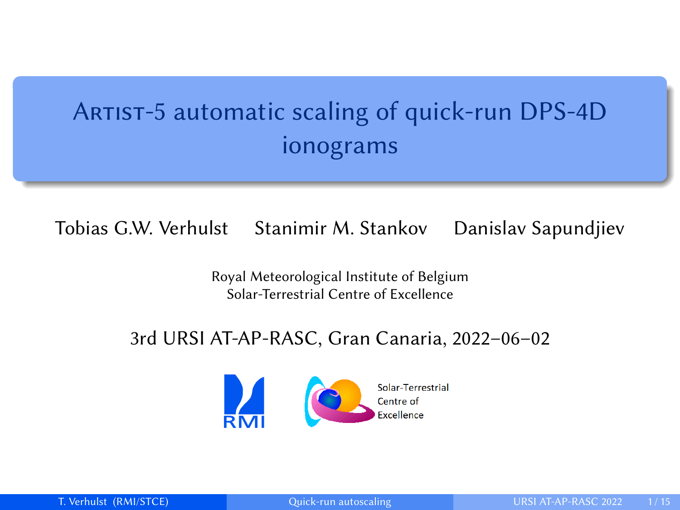# <span id="page-0-0"></span>ARTIST-5 automatic scaling of quick-run DPS-4D ionograms

Tobias G.W. Verhulst Stanimir M. Stankov Danislav Sapundjiev

Royal Meteorological Institute of Belgium Solar-Terrestrial Centre of Excellence

#### 3rd URSI AT-AP-RASC, Gran Canaria, 2022–06–02

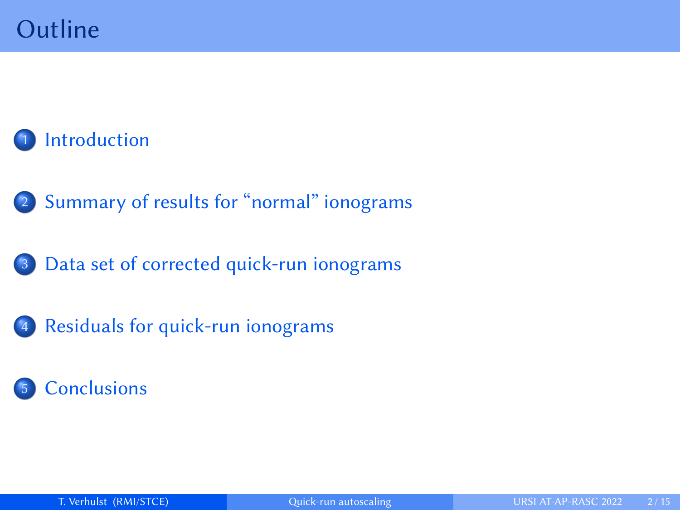## **[Introduction](#page-2-0)**

2 [Summary of results for "normal" ionograms](#page-4-0)

[Data set of corrected quick-run ionograms](#page-6-0)

4 [Residuals for quick-run ionograms](#page-7-0)

### **[Conclusions](#page-13-0)**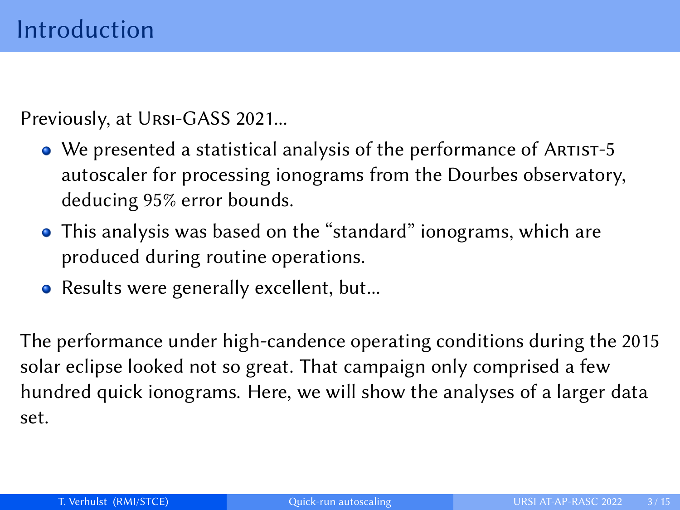<span id="page-2-0"></span>Previously, at Ursi-GASS 2021...

- We presented a statistical analysis of the performance of ARTIST-5 autoscaler for processing ionograms from the Dourbes observatory, deducing 95% error bounds.
- This analysis was based on the "standard" ionograms, which are produced during routine operations.
- Results were generally excellent, but...

The performance under high-candence operating conditions during the 2015 solar eclipse looked not so great. That campaign only comprised a few hundred quick ionograms. Here, we will show the analyses of a larger data set.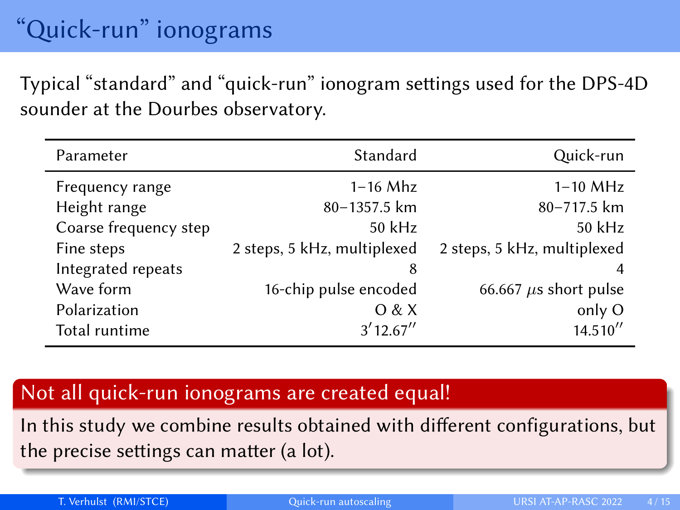Typical "standard" and "quick-run" ionogram settings used for the DPS-4D sounder at the Dourbes observatory.

| Parameter             | Standard                    | Quick-run                   |
|-----------------------|-----------------------------|-----------------------------|
| Frequency range       | $1-16$ Mhz                  | $1-10$ MHz                  |
| Height range          | 80-1357.5 km                | 80-717.5 km                 |
| Coarse frequency step | 50 kHz                      | 50 kHz                      |
| Fine steps            | 2 steps, 5 kHz, multiplexed | 2 steps, 5 kHz, multiplexed |
| Integrated repeats    | 8                           | 4                           |
| Wave form             | 16-chip pulse encoded       | 66.667 $\mu$ s short pulse  |
| Polarization          | O & X                       | only O                      |
| Total runtime         | 3'12.67''                   | 14.510''                    |

#### Not all quick-run ionograms are created equal!

In this study we combine results obtained with different configurations, but the precise settings can matter (a lot).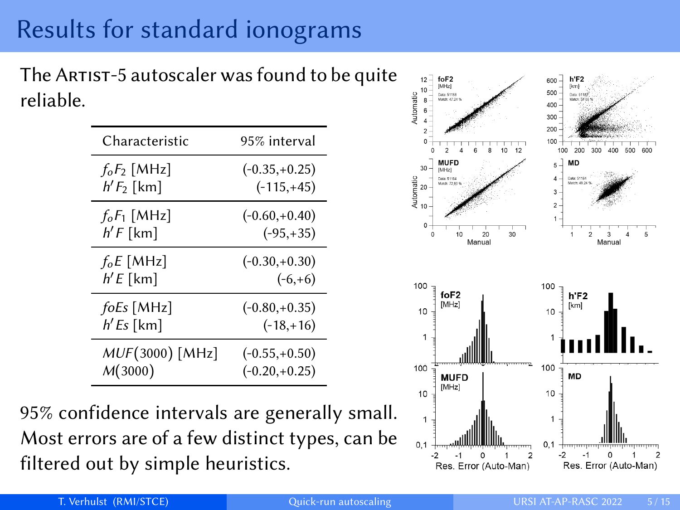# <span id="page-4-0"></span>Results for standard ionograms

The ARTIST-5 autoscaler was found to be quite reliable.

| Characteristic  | 95% interval    |
|-----------------|-----------------|
| $f_0F_2$ [MHz]  | $(-0.35,+0.25)$ |
| $h'F_2$ [km]    | $(-115,+45)$    |
| $f_oF_1$ [MHz]  | $(-0.60,+0.40)$ |
| $h'F$ [km]      | $(-95, +35)$    |
| $f_0E$ [MHz]    | $(-0.30,+0.30)$ |
| $h'E$ [km]      | $(-6,+6)$       |
| foEs [MHz]      | $(-0.80,+0.35)$ |
| $h'Es$ [km]     | $(-18, +16)$    |
| MUF(3000) [MHz] | $(-0.55,+0.50)$ |
| M(3000)         | $(-0.20,+0.25)$ |

95% confidence intervals are generally small. Most errors are of a few distinct types, can be filtered out by simple heuristics.

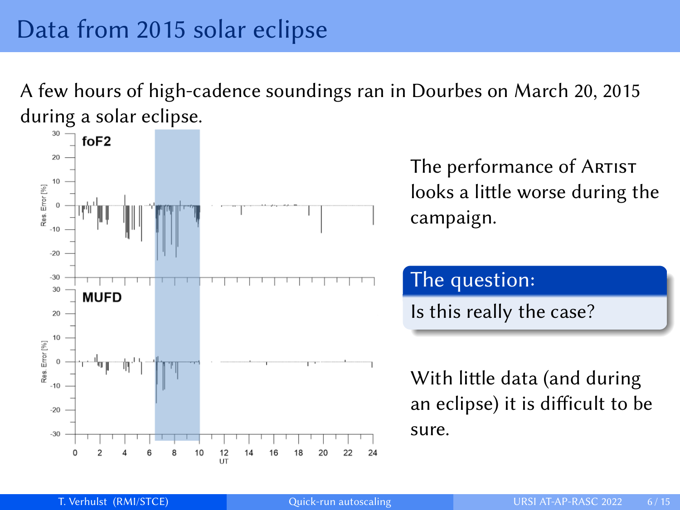A few hours of high-cadence soundings ran in Dourbes on March 20, 2015 during a solar eclipse.



The performance of ARTIST looks a little worse during the campaign.

### The question:

Is this really the case?

With little data (and during an eclipse) it is difficult to be sure.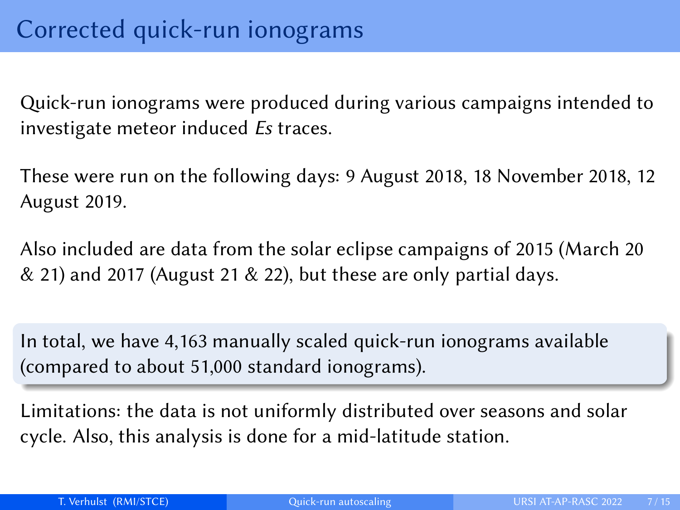<span id="page-6-0"></span>Quick-run ionograms were produced during various campaigns intended to investigate meteor induced Es traces.

These were run on the following days: 9 August 2018, 18 November 2018, 12 August 2019.

Also included are data from the solar eclipse campaigns of 2015 (March 20  $\&$  21) and 2017 (August 21  $\&$  22), but these are only partial days.

In total, we have 4,163 manually scaled quick-run ionograms available (compared to about 51,000 standard ionograms).

Limitations: the data is not uniformly distributed over seasons and solar cycle. Also, this analysis is done for a mid-latitude station.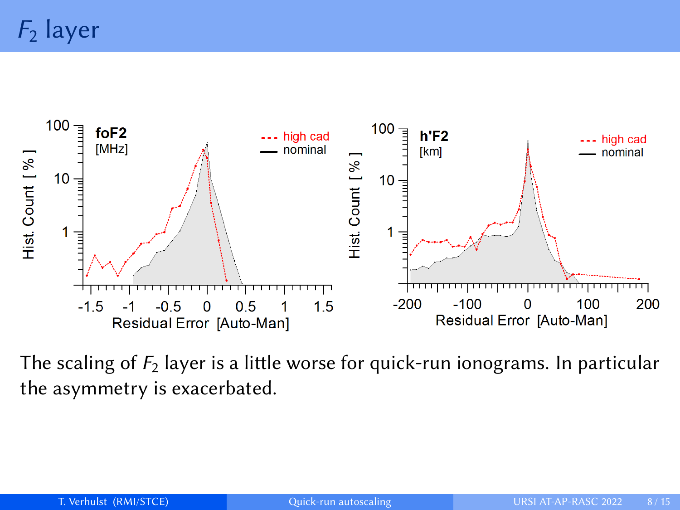<span id="page-7-0"></span> $F_2$  layer



The scaling of  $F_2$  layer is a little worse for quick-run ionograms. In particular the asymmetry is exacerbated.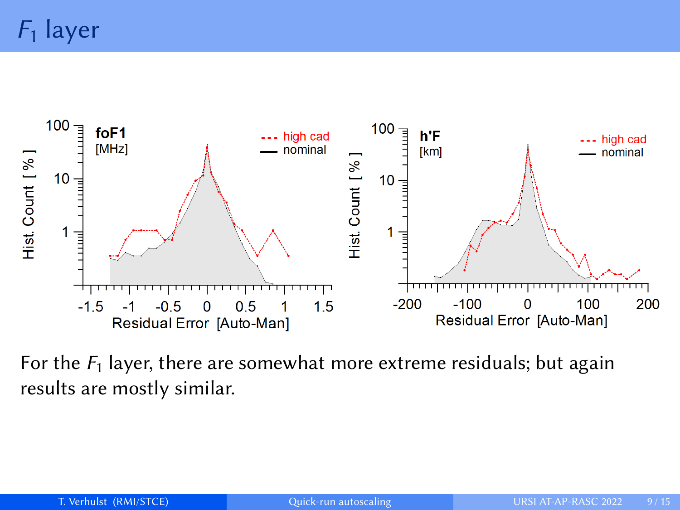$F_1$  layer



For the  $F_1$  layer, there are somewhat more extreme residuals; but again results are mostly similar.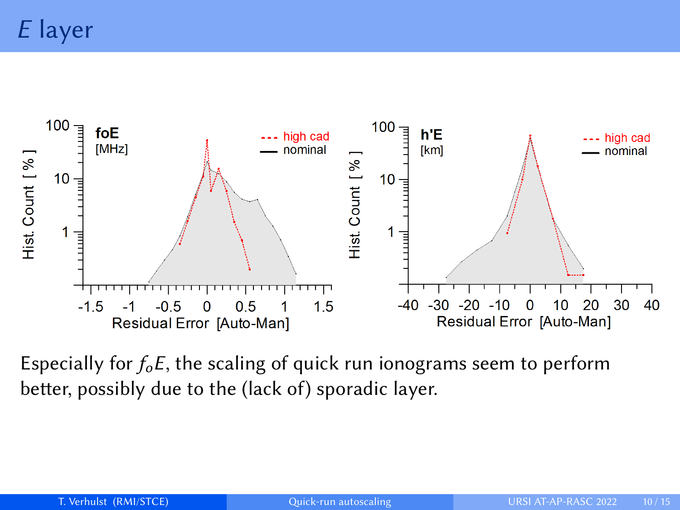E layer



Especially for  $f_0E$ , the scaling of quick run ionograms seem to perform better, possibly due to the (lack of) sporadic layer.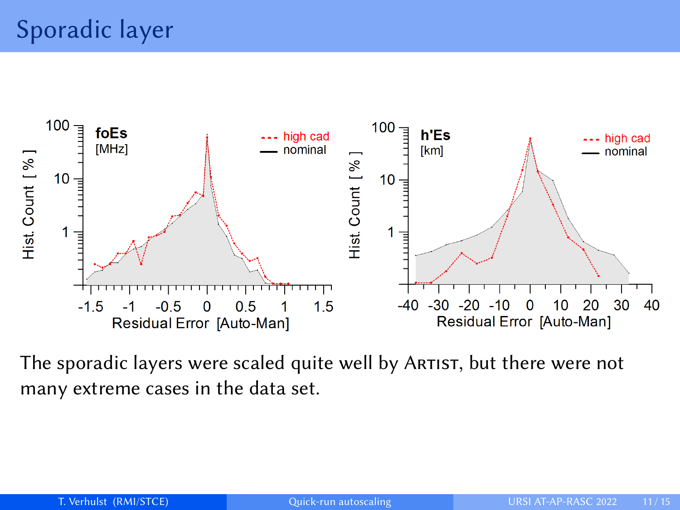

The sporadic layers were scaled quite well by Artist, but there were not many extreme cases in the data set.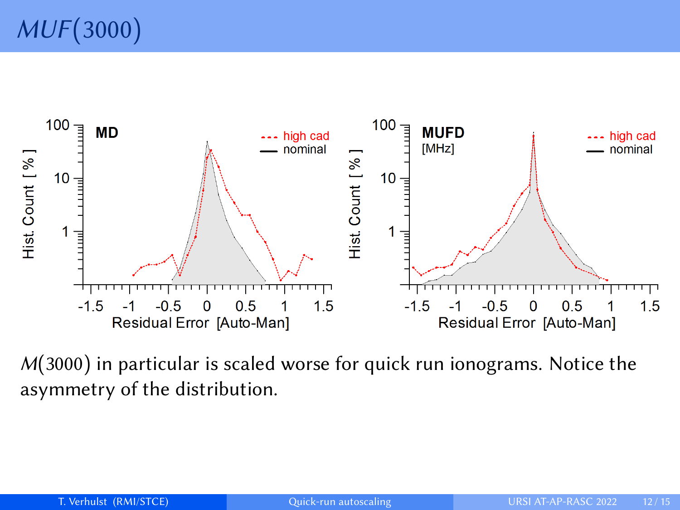

 $M(3000)$  in particular is scaled worse for quick run ionograms. Notice the asymmetry of the distribution.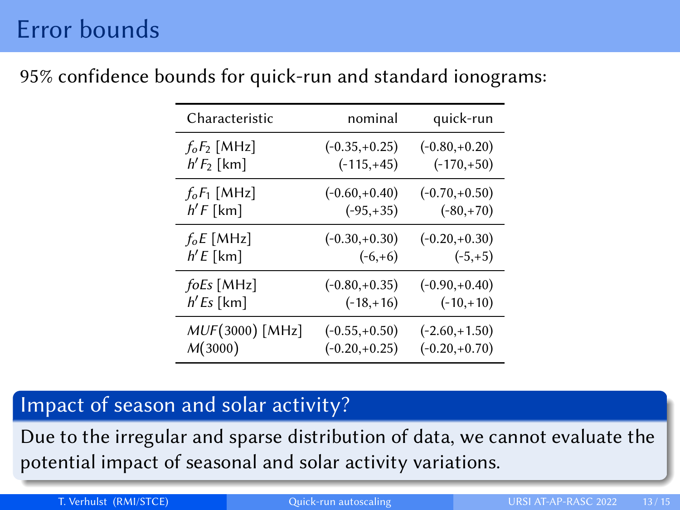## Error bounds

| Characteristic            | nominal         | quick-run       |
|---------------------------|-----------------|-----------------|
| $f_oF_2$ [MHz]            | $(-0.35,+0.25)$ | $(-0.80,+0.20)$ |
| $h'F_2$ [km]              | $(-115,+45)$    | $(-170,+50)$    |
| $f_oF_1$ [MHz]            | $(-0.60,+0.40)$ | $(-0.70,+0.50)$ |
| $h'F$ [km]                | $(-95, +35)$    | $(-80,+70)$     |
| $f_oE$ [MHz]              | $(-0.30,+0.30)$ | $(-0.20,+0.30)$ |
| $h'E$ [km]                | $(-6,+6)$       | $(-5,+5)$       |
| $f \circ E \circ [M H z]$ | $(-0.80,+0.35)$ | $(-0.90,+0.40)$ |
| $h'Es$ [km]               | $(-18, +16)$    | $(-10,+10)$     |
| MUF(3000) [MHz]           | $(-0.55,+0.50)$ | $(-2.60,+1.50)$ |
| M(3000)                   | $(-0.20,+0.25)$ | $(-0.20,+0.70)$ |

#### 95% confidence bounds for quick-run and standard ionograms:

#### Impact of season and solar activity?

Due to the irregular and sparse distribution of data, we cannot evaluate the potential impact of seasonal and solar activity variations.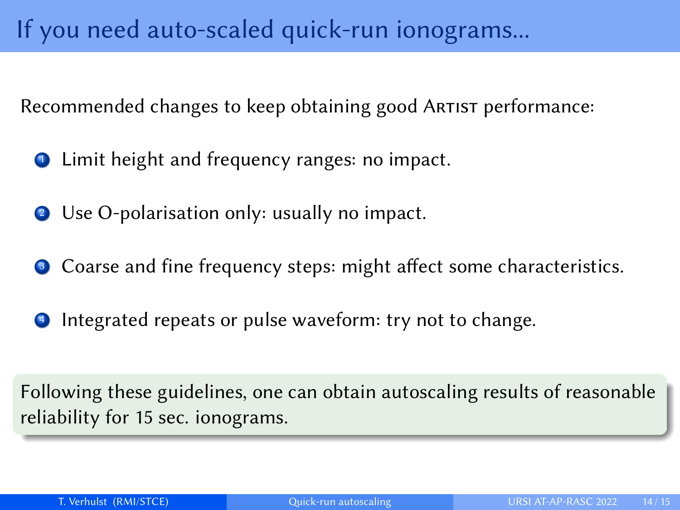<span id="page-13-0"></span>Recommended changes to keep obtaining good ARTIST performance:

- Limit height and frequency ranges: no impact.
- <sup>2</sup> Use O-polarisation only: usually no impact.
- Coarse and fine frequency steps: might affect some characteristics.
- **1** Integrated repeats or pulse waveform: try not to change.

Following these guidelines, one can obtain autoscaling results of reasonable reliability for 15 sec. ionograms.